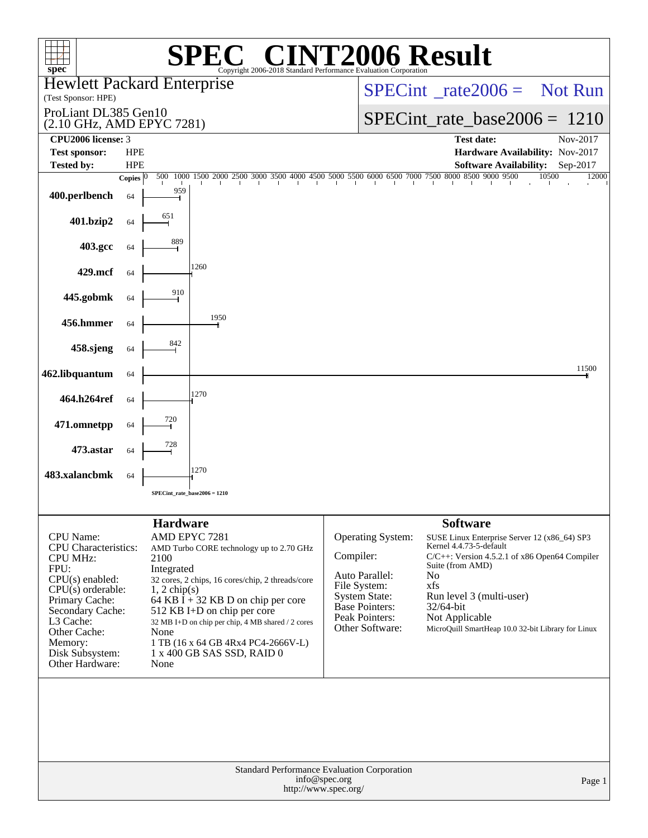| spec <sup>®</sup>                                                                                                                                                                                                                   |                    |                                                                         | $\bigcap$<br>Copyright 2006-2018 Standard Performance Evaluation Corporation                                                                                                                                                                                                                                |           |                                                                                                                                           | <b>INT2006 Result</b>                                                                                                                                                                                                                                                                                        |                |
|-------------------------------------------------------------------------------------------------------------------------------------------------------------------------------------------------------------------------------------|--------------------|-------------------------------------------------------------------------|-------------------------------------------------------------------------------------------------------------------------------------------------------------------------------------------------------------------------------------------------------------------------------------------------------------|-----------|-------------------------------------------------------------------------------------------------------------------------------------------|--------------------------------------------------------------------------------------------------------------------------------------------------------------------------------------------------------------------------------------------------------------------------------------------------------------|----------------|
| <b>Hewlett Packard Enterprise</b><br>(Test Sponsor: HPE)                                                                                                                                                                            |                    |                                                                         |                                                                                                                                                                                                                                                                                                             |           | $SPECint^{\circ}$ <sub>rate</sub> 2006 = Not Run                                                                                          |                                                                                                                                                                                                                                                                                                              |                |
| ProLiant DL385 Gen10<br>(2.10 GHz, AMD EPYC 7281)                                                                                                                                                                                   |                    |                                                                         |                                                                                                                                                                                                                                                                                                             |           | $SPECint_rate_base2006 = 1210$                                                                                                            |                                                                                                                                                                                                                                                                                                              |                |
| CPU2006 license: 3<br><b>Test sponsor:</b>                                                                                                                                                                                          | <b>HPE</b>         |                                                                         |                                                                                                                                                                                                                                                                                                             |           |                                                                                                                                           | <b>Test date:</b><br>Hardware Availability: Nov-2017                                                                                                                                                                                                                                                         | Nov-2017       |
| <b>Tested by:</b>                                                                                                                                                                                                                   | <b>HPE</b>         |                                                                         | 1500 2000 2500 3000 3500 4000 4500 5000 5500 6000 6500 7000 7500 8000 8500 9000 9500                                                                                                                                                                                                                        |           |                                                                                                                                           | <b>Software Availability:</b>                                                                                                                                                                                                                                                                                | Sep-2017       |
| 400.perlbench                                                                                                                                                                                                                       | Copies $ 0 $<br>64 | 500<br>1000<br>959                                                      |                                                                                                                                                                                                                                                                                                             |           |                                                                                                                                           | $\mathbf{1}$                                                                                                                                                                                                                                                                                                 | 10500<br>12000 |
| 401.bzip2                                                                                                                                                                                                                           | 64                 | 651                                                                     |                                                                                                                                                                                                                                                                                                             |           |                                                                                                                                           |                                                                                                                                                                                                                                                                                                              |                |
| 403.gcc                                                                                                                                                                                                                             | 64                 | 889                                                                     |                                                                                                                                                                                                                                                                                                             |           |                                                                                                                                           |                                                                                                                                                                                                                                                                                                              |                |
| 429.mcf                                                                                                                                                                                                                             | 64                 |                                                                         | 1260                                                                                                                                                                                                                                                                                                        |           |                                                                                                                                           |                                                                                                                                                                                                                                                                                                              |                |
| 445.gobmk                                                                                                                                                                                                                           | 64                 | 910                                                                     |                                                                                                                                                                                                                                                                                                             |           |                                                                                                                                           |                                                                                                                                                                                                                                                                                                              |                |
| 456.hmmer                                                                                                                                                                                                                           | 64                 |                                                                         | 1950                                                                                                                                                                                                                                                                                                        |           |                                                                                                                                           |                                                                                                                                                                                                                                                                                                              |                |
| 458.sjeng                                                                                                                                                                                                                           | 64                 | 842                                                                     |                                                                                                                                                                                                                                                                                                             |           |                                                                                                                                           |                                                                                                                                                                                                                                                                                                              |                |
| 462.libquantum                                                                                                                                                                                                                      | 64                 |                                                                         |                                                                                                                                                                                                                                                                                                             |           |                                                                                                                                           |                                                                                                                                                                                                                                                                                                              | 11500          |
| 464.h264ref                                                                                                                                                                                                                         | 64                 |                                                                         | 1270                                                                                                                                                                                                                                                                                                        |           |                                                                                                                                           |                                                                                                                                                                                                                                                                                                              |                |
| 471.omnetpp                                                                                                                                                                                                                         | 64                 | 720                                                                     |                                                                                                                                                                                                                                                                                                             |           |                                                                                                                                           |                                                                                                                                                                                                                                                                                                              |                |
| 473.astar                                                                                                                                                                                                                           | 64                 | 728                                                                     |                                                                                                                                                                                                                                                                                                             |           |                                                                                                                                           |                                                                                                                                                                                                                                                                                                              |                |
| 483.xalancbmk                                                                                                                                                                                                                       | 64                 |                                                                         | 1270                                                                                                                                                                                                                                                                                                        |           |                                                                                                                                           |                                                                                                                                                                                                                                                                                                              |                |
|                                                                                                                                                                                                                                     |                    |                                                                         | $SPECint_rate_base2006 = 1210$                                                                                                                                                                                                                                                                              |           |                                                                                                                                           |                                                                                                                                                                                                                                                                                                              |                |
| CPU Name:<br><b>CPU</b> Characteristics:<br><b>CPU MHz:</b><br>FPU:<br>$CPU(s)$ enabled:<br>$CPU(s)$ orderable:<br>Primary Cache:<br>Secondary Cache:<br>L3 Cache:<br>Other Cache:<br>Memory:<br>Disk Subsystem:<br>Other Hardware: |                    | <b>Hardware</b><br>2100<br>Integrated<br>$1, 2$ chip(s)<br>None<br>None | AMD EPYC 7281<br>AMD Turbo CORE technology up to 2.70 GHz<br>32 cores, 2 chips, 16 cores/chip, 2 threads/core<br>64 KB I + 32 KB D on chip per core<br>512 KB I+D on chip per core<br>32 MB I+D on chip per chip, 4 MB shared / 2 cores<br>1 TB (16 x 64 GB 4Rx4 PC4-2666V-L)<br>1 x 400 GB SAS SSD, RAID 0 | Compiler: | <b>Operating System:</b><br>Auto Parallel:<br>File System:<br><b>System State:</b><br>Base Pointers:<br>Peak Pointers:<br>Other Software: | <b>Software</b><br>SUSE Linux Enterprise Server 12 (x86_64) SP3<br>Kernel 4.4.73-5-default<br>C/C++: Version 4.5.2.1 of x86 Open64 Compiler<br>Suite (from AMD)<br>N <sub>0</sub><br>xfs<br>Run level 3 (multi-user)<br>$32/64$ -bit<br>Not Applicable<br>MicroQuill SmartHeap 10.0 32-bit Library for Linux |                |
|                                                                                                                                                                                                                                     |                    |                                                                         |                                                                                                                                                                                                                                                                                                             | Page 1    |                                                                                                                                           |                                                                                                                                                                                                                                                                                                              |                |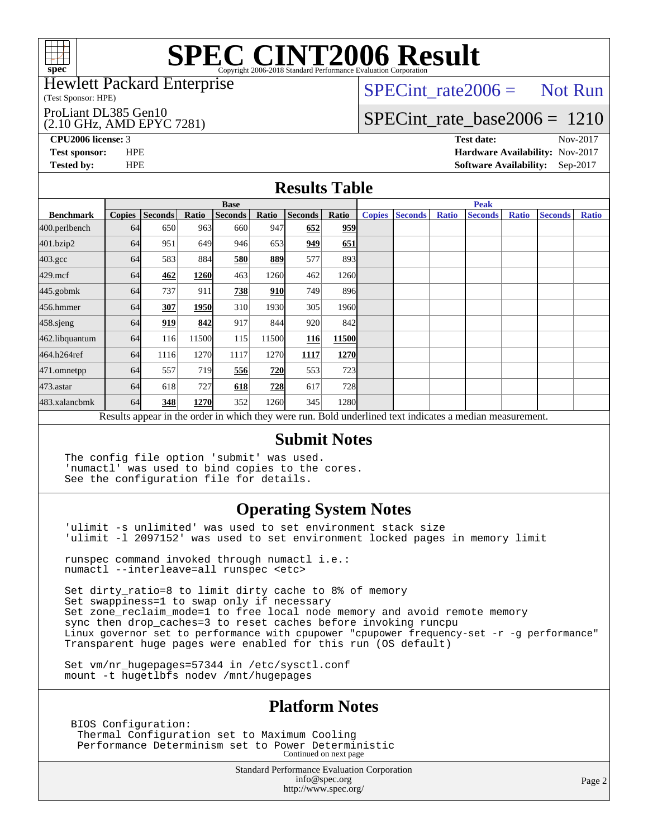

# **[SPEC CINT2006 Result](http://www.spec.org/auto/cpu2006/Docs/result-fields.html#SPECCINT2006Result)**

#### Hewlett Packard Enterprise

(Test Sponsor: HPE)

#### ProLiant DL385 Gen10

#### (2.10 GHz, AMD EPYC 7281)

 $SPECTnt_rate2006 = Not Run$ 

### [SPECint\\_rate\\_base2006 =](http://www.spec.org/auto/cpu2006/Docs/result-fields.html#SPECintratebase2006) 1210

**[CPU2006 license:](http://www.spec.org/auto/cpu2006/Docs/result-fields.html#CPU2006license)** 3 **[Test date:](http://www.spec.org/auto/cpu2006/Docs/result-fields.html#Testdate)** Nov-2017

**[Test sponsor:](http://www.spec.org/auto/cpu2006/Docs/result-fields.html#Testsponsor)** HPE **[Hardware Availability:](http://www.spec.org/auto/cpu2006/Docs/result-fields.html#HardwareAvailability)** Nov-2017 **[Tested by:](http://www.spec.org/auto/cpu2006/Docs/result-fields.html#Testedby)** HPE **[Software Availability:](http://www.spec.org/auto/cpu2006/Docs/result-fields.html#SoftwareAvailability)** Sep-2017

### **[Results Table](http://www.spec.org/auto/cpu2006/Docs/result-fields.html#ResultsTable)**

|                                                                                                          | <b>Base</b>   |                |       |                |       |                |                   | <b>Peak</b>   |                |              |                |              |                |              |
|----------------------------------------------------------------------------------------------------------|---------------|----------------|-------|----------------|-------|----------------|-------------------|---------------|----------------|--------------|----------------|--------------|----------------|--------------|
| <b>Benchmark</b>                                                                                         | <b>Copies</b> | <b>Seconds</b> | Ratio | <b>Seconds</b> | Ratio | <b>Seconds</b> | Ratio             | <b>Copies</b> | <b>Seconds</b> | <b>Ratio</b> | <b>Seconds</b> | <b>Ratio</b> | <b>Seconds</b> | <b>Ratio</b> |
| 400.perlbench                                                                                            | 64            | 650            | 963   | 660            | 947   | 652            | 959               |               |                |              |                |              |                |              |
| 401.bzip2                                                                                                | 64            | 951            | 649   | 946            | 653   | 949            | 651               |               |                |              |                |              |                |              |
| $403.\mathrm{gcc}$                                                                                       | 64            | 583            | 884   | 580            | 889   | 577            | 893               |               |                |              |                |              |                |              |
| $429$ .mcf                                                                                               | 64            | 462            | 1260  | 463            | 1260  | 462            | 1260              |               |                |              |                |              |                |              |
| $445$ .gobm $k$                                                                                          | 64            | 737            | 911   | 738            | 910   | 749            | 896               |               |                |              |                |              |                |              |
| 456.hmmer                                                                                                | 64            | 307            | 1950  | 310            | 1930  | 305            | 1960 <sub>l</sub> |               |                |              |                |              |                |              |
| 458.sjeng                                                                                                | 64            | 919            | 842   | 917            | 844   | 920            | 842               |               |                |              |                |              |                |              |
| 462.libquantum                                                                                           | 64            | 116            | 11500 | 115            | 11500 | 116            | 11500             |               |                |              |                |              |                |              |
| 464.h264ref                                                                                              | 64            | 1116           | 1270  | 1117           | 1270  | 1117           | 1270              |               |                |              |                |              |                |              |
| 471.omnetpp                                                                                              | 64            | 557            | 719   | 556            | 720   | 553            | 723               |               |                |              |                |              |                |              |
| 473.astar                                                                                                | 64            | 618            | 727   | 618            | 728   | 617            | 728I              |               |                |              |                |              |                |              |
| 483.xalancbmk                                                                                            | 64            | 348            | 1270  | 352            | 1260  | 345            | 1280              |               |                |              |                |              |                |              |
| Results appear in the order in which they were run. Bold underlined text indicates a median measurement. |               |                |       |                |       |                |                   |               |                |              |                |              |                |              |

### **[Submit Notes](http://www.spec.org/auto/cpu2006/Docs/result-fields.html#SubmitNotes)**

The config file option 'submit' was used. 'numactl' was used to bind copies to the cores. See the configuration file for details.

### **[Operating System Notes](http://www.spec.org/auto/cpu2006/Docs/result-fields.html#OperatingSystemNotes)**

'ulimit -s unlimited' was used to set environment stack size 'ulimit -l 2097152' was used to set environment locked pages in memory limit

runspec command invoked through numactl i.e.: numactl --interleave=all runspec <etc>

Set dirty\_ratio=8 to limit dirty cache to 8% of memory Set swappiness=1 to swap only if necessary Set zone\_reclaim\_mode=1 to free local node memory and avoid remote memory sync then drop\_caches=3 to reset caches before invoking runcpu Linux governor set to performance with cpupower "cpupower frequency-set -r -g performance" Transparent huge pages were enabled for this run (OS default)

Set vm/nr hugepages=57344 in /etc/sysctl.conf mount -t hugetlbfs nodev /mnt/hugepages

### **[Platform Notes](http://www.spec.org/auto/cpu2006/Docs/result-fields.html#PlatformNotes)**

 BIOS Configuration: Thermal Configuration set to Maximum Cooling Performance Determinism set to Power Deterministic Continued on next page

> Standard Performance Evaluation Corporation [info@spec.org](mailto:info@spec.org) <http://www.spec.org/>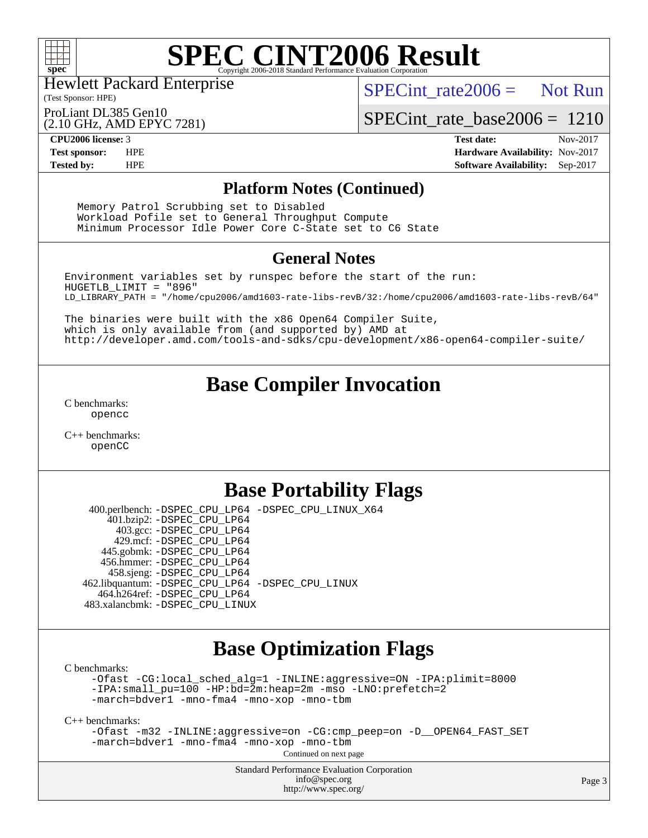

# **[SPEC CINT2006 Result](http://www.spec.org/auto/cpu2006/Docs/result-fields.html#SPECCINT2006Result)**

Hewlett Packard Enterprise

(Test Sponsor: HPE)

 $SPECint rate2006 =$  Not Run

[SPECint\\_rate\\_base2006 =](http://www.spec.org/auto/cpu2006/Docs/result-fields.html#SPECintratebase2006) 1210

ProLiant DL385 Gen10

(2.10 GHz, AMD EPYC 7281)

**[Tested by:](http://www.spec.org/auto/cpu2006/Docs/result-fields.html#Testedby)** HPE **[Software Availability:](http://www.spec.org/auto/cpu2006/Docs/result-fields.html#SoftwareAvailability)** Sep-2017

**[CPU2006 license:](http://www.spec.org/auto/cpu2006/Docs/result-fields.html#CPU2006license)** 3 **[Test date:](http://www.spec.org/auto/cpu2006/Docs/result-fields.html#Testdate)** Nov-2017 **[Test sponsor:](http://www.spec.org/auto/cpu2006/Docs/result-fields.html#Testsponsor)** HPE **[Hardware Availability:](http://www.spec.org/auto/cpu2006/Docs/result-fields.html#HardwareAvailability)** Nov-2017

### **[Platform Notes \(Continued\)](http://www.spec.org/auto/cpu2006/Docs/result-fields.html#PlatformNotes)**

 Memory Patrol Scrubbing set to Disabled Workload Pofile set to General Throughput Compute Minimum Processor Idle Power Core C-State set to C6 State

### **[General Notes](http://www.spec.org/auto/cpu2006/Docs/result-fields.html#GeneralNotes)**

Environment variables set by runspec before the start of the run: HUGETLB\_LIMIT = "896" LD\_LIBRARY\_PATH = "/home/cpu2006/amd1603-rate-libs-revB/32:/home/cpu2006/amd1603-rate-libs-revB/64"

The binaries were built with the x86 Open64 Compiler Suite, which is only available from (and supported by) AMD at <http://developer.amd.com/tools-and-sdks/cpu-development/x86-open64-compiler-suite/>

## **[Base Compiler Invocation](http://www.spec.org/auto/cpu2006/Docs/result-fields.html#BaseCompilerInvocation)**

[C benchmarks](http://www.spec.org/auto/cpu2006/Docs/result-fields.html#Cbenchmarks): [opencc](http://www.spec.org/cpu2006/results/res2017q4/cpu2006-20171128-50831.flags.html#user_CCbase_Fopencc)

[C++ benchmarks:](http://www.spec.org/auto/cpu2006/Docs/result-fields.html#CXXbenchmarks) [openCC](http://www.spec.org/cpu2006/results/res2017q4/cpu2006-20171128-50831.flags.html#user_CXXbase_FopenCC)

## **[Base Portability Flags](http://www.spec.org/auto/cpu2006/Docs/result-fields.html#BasePortabilityFlags)**

 400.perlbench: [-DSPEC\\_CPU\\_LP64](http://www.spec.org/cpu2006/results/res2017q4/cpu2006-20171128-50831.flags.html#b400.perlbench_basePORTABILITY_DSPEC_CPU_LP64) [-DSPEC\\_CPU\\_LINUX\\_X64](http://www.spec.org/cpu2006/results/res2017q4/cpu2006-20171128-50831.flags.html#b400.perlbench_baseCPORTABILITY_DSPEC_CPU_LINUX_X64) 401.bzip2: [-DSPEC\\_CPU\\_LP64](http://www.spec.org/cpu2006/results/res2017q4/cpu2006-20171128-50831.flags.html#suite_basePORTABILITY401_bzip2_DSPEC_CPU_LP64) 403.gcc: [-DSPEC\\_CPU\\_LP64](http://www.spec.org/cpu2006/results/res2017q4/cpu2006-20171128-50831.flags.html#suite_basePORTABILITY403_gcc_DSPEC_CPU_LP64) 429.mcf: [-DSPEC\\_CPU\\_LP64](http://www.spec.org/cpu2006/results/res2017q4/cpu2006-20171128-50831.flags.html#suite_basePORTABILITY429_mcf_DSPEC_CPU_LP64) 445.gobmk: [-DSPEC\\_CPU\\_LP64](http://www.spec.org/cpu2006/results/res2017q4/cpu2006-20171128-50831.flags.html#suite_basePORTABILITY445_gobmk_DSPEC_CPU_LP64) 456.hmmer: [-DSPEC\\_CPU\\_LP64](http://www.spec.org/cpu2006/results/res2017q4/cpu2006-20171128-50831.flags.html#suite_basePORTABILITY456_hmmer_DSPEC_CPU_LP64) 458.sjeng: [-DSPEC\\_CPU\\_LP64](http://www.spec.org/cpu2006/results/res2017q4/cpu2006-20171128-50831.flags.html#suite_basePORTABILITY458_sjeng_DSPEC_CPU_LP64) 462.libquantum: [-DSPEC\\_CPU\\_LP64](http://www.spec.org/cpu2006/results/res2017q4/cpu2006-20171128-50831.flags.html#suite_basePORTABILITY462_libquantum_DSPEC_CPU_LP64) [-DSPEC\\_CPU\\_LINUX](http://www.spec.org/cpu2006/results/res2017q4/cpu2006-20171128-50831.flags.html#b462.libquantum_baseCPORTABILITY_DSPEC_CPU_LINUX) 464.h264ref: [-DSPEC\\_CPU\\_LP64](http://www.spec.org/cpu2006/results/res2017q4/cpu2006-20171128-50831.flags.html#suite_basePORTABILITY464_h264ref_DSPEC_CPU_LP64) 483.xalancbmk: [-DSPEC\\_CPU\\_LINUX](http://www.spec.org/cpu2006/results/res2017q4/cpu2006-20171128-50831.flags.html#b483.xalancbmk_baseCXXPORTABILITY_DSPEC_CPU_LINUX)

## **[Base Optimization Flags](http://www.spec.org/auto/cpu2006/Docs/result-fields.html#BaseOptimizationFlags)**

[C benchmarks](http://www.spec.org/auto/cpu2006/Docs/result-fields.html#Cbenchmarks):

[-Ofast](http://www.spec.org/cpu2006/results/res2017q4/cpu2006-20171128-50831.flags.html#user_CCbase_F-Ofast) [-CG:local\\_sched\\_alg=1](http://www.spec.org/cpu2006/results/res2017q4/cpu2006-20171128-50831.flags.html#user_CCbase_F-CG:local_sched_alg_2175ca61f1a2717f1ec57b14995b9e7a) [-INLINE:aggressive=ON](http://www.spec.org/cpu2006/results/res2017q4/cpu2006-20171128-50831.flags.html#user_CCbase_F-INLINE:aggressive_1968a21fda3b9e485676870015f71302) [-IPA:plimit=8000](http://www.spec.org/cpu2006/results/res2017q4/cpu2006-20171128-50831.flags.html#user_CCbase_F-IPA:plimit_92cba83f3d47f09c7d5368fda93ddbd7) [-IPA:small\\_pu=100](http://www.spec.org/cpu2006/results/res2017q4/cpu2006-20171128-50831.flags.html#user_CCbase_F-IPA:small_pu_900a09767c6929d55c26ea3d32399996) [-HP:bd=2m:heap=2m](http://www.spec.org/cpu2006/results/res2017q4/cpu2006-20171128-50831.flags.html#user_CCbase_F-HUGEPAGE_539c723a9f9bd1bd95cd839aeb740bae) [-mso](http://www.spec.org/cpu2006/results/res2017q4/cpu2006-20171128-50831.flags.html#user_CCbase_F-mso) [-LNO:prefetch=2](http://www.spec.org/cpu2006/results/res2017q4/cpu2006-20171128-50831.flags.html#user_CCbase_F-LNO:prefetch_9aee81855ba0592a3c8a40ba7b041143) [-march=bdver1](http://www.spec.org/cpu2006/results/res2017q4/cpu2006-20171128-50831.flags.html#user_CCbase_F-march_fdb9f2653a6b3eaa60be4cf93a9ba5f3) [-mno-fma4](http://www.spec.org/cpu2006/results/res2017q4/cpu2006-20171128-50831.flags.html#user_CCbase_F-mno-fma4_e29f3a785f8b63ba2d60793d5b1cf4c3) [-mno-xop](http://www.spec.org/cpu2006/results/res2017q4/cpu2006-20171128-50831.flags.html#user_CCbase_F-mno-xop) [-mno-tbm](http://www.spec.org/cpu2006/results/res2017q4/cpu2006-20171128-50831.flags.html#user_CCbase_F-mno-tbm)

[C++ benchmarks:](http://www.spec.org/auto/cpu2006/Docs/result-fields.html#CXXbenchmarks)

[-Ofast](http://www.spec.org/cpu2006/results/res2017q4/cpu2006-20171128-50831.flags.html#user_CXXbase_F-Ofast) [-m32](http://www.spec.org/cpu2006/results/res2017q4/cpu2006-20171128-50831.flags.html#user_CXXbase_F-m32) [-INLINE:aggressive=on](http://www.spec.org/cpu2006/results/res2017q4/cpu2006-20171128-50831.flags.html#user_CXXbase_F-INLINE:aggressive_e14807c0a1e56a6a83cb25ab07c7ae8a) [-CG:cmp\\_peep=on](http://www.spec.org/cpu2006/results/res2017q4/cpu2006-20171128-50831.flags.html#user_CXXbase_F-CG:cmp_peep_ab90c979e95bee1f1f617a32622424ed) [-D\\_\\_OPEN64\\_FAST\\_SET](http://www.spec.org/cpu2006/results/res2017q4/cpu2006-20171128-50831.flags.html#user_CXXbase_F-D__OPEN64_FAST_SET_294c6d8260f208640e5474aae24dc22e) [-march=bdver1](http://www.spec.org/cpu2006/results/res2017q4/cpu2006-20171128-50831.flags.html#user_CXXbase_F-march_fdb9f2653a6b3eaa60be4cf93a9ba5f3) [-mno-fma4](http://www.spec.org/cpu2006/results/res2017q4/cpu2006-20171128-50831.flags.html#user_CXXbase_F-mno-fma4_e29f3a785f8b63ba2d60793d5b1cf4c3) [-mno-xop](http://www.spec.org/cpu2006/results/res2017q4/cpu2006-20171128-50831.flags.html#user_CXXbase_F-mno-xop) [-mno-tbm](http://www.spec.org/cpu2006/results/res2017q4/cpu2006-20171128-50831.flags.html#user_CXXbase_F-mno-tbm) Continued on next page

> Standard Performance Evaluation Corporation [info@spec.org](mailto:info@spec.org) <http://www.spec.org/>